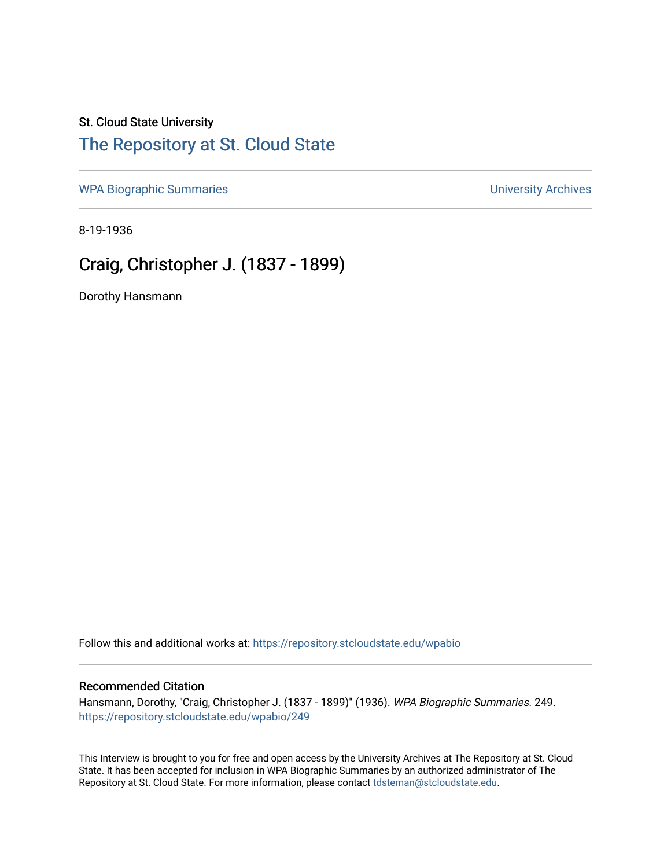# St. Cloud State University

# [The Repository at St. Cloud State](https://repository.stcloudstate.edu/)

[WPA Biographic Summaries](https://repository.stcloudstate.edu/wpabio) **WPA Biographic Summaries University Archives** 

8-19-1936

# Craig, Christopher J. (1837 - 1899)

Dorothy Hansmann

Follow this and additional works at: [https://repository.stcloudstate.edu/wpabio](https://repository.stcloudstate.edu/wpabio?utm_source=repository.stcloudstate.edu%2Fwpabio%2F249&utm_medium=PDF&utm_campaign=PDFCoverPages) 

#### Recommended Citation

Hansmann, Dorothy, "Craig, Christopher J. (1837 - 1899)" (1936). WPA Biographic Summaries. 249. [https://repository.stcloudstate.edu/wpabio/249](https://repository.stcloudstate.edu/wpabio/249?utm_source=repository.stcloudstate.edu%2Fwpabio%2F249&utm_medium=PDF&utm_campaign=PDFCoverPages) 

This Interview is brought to you for free and open access by the University Archives at The Repository at St. Cloud State. It has been accepted for inclusion in WPA Biographic Summaries by an authorized administrator of The Repository at St. Cloud State. For more information, please contact [tdsteman@stcloudstate.edu.](mailto:tdsteman@stcloudstate.edu)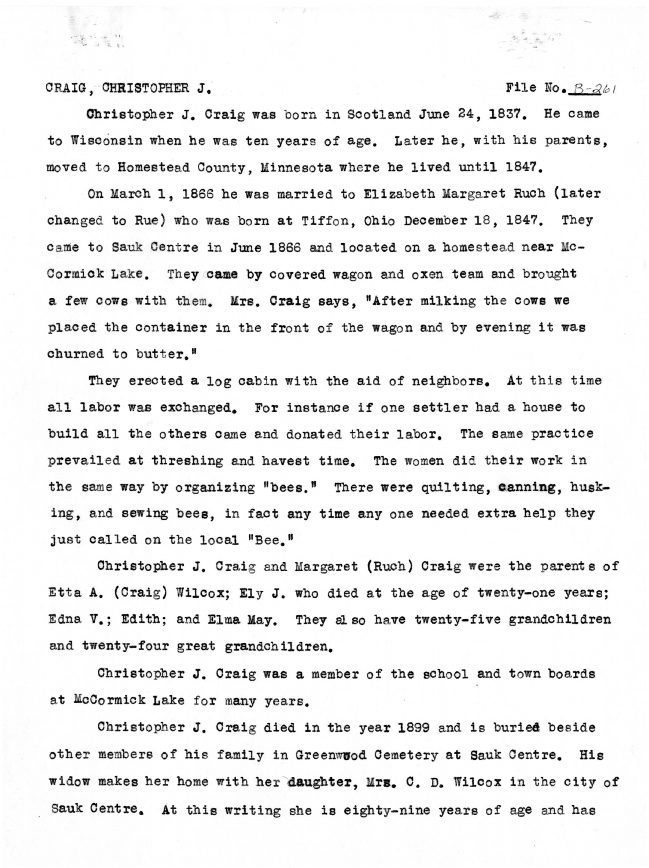CRAIG, CHRISTOPHER J. File No.  $B-261$ 

Christopher J. Craig was born in Scotland June 24, 1837. He came to Wisconsin when he was ten years of age. Later he, with his parents, moved to Homestead County, Minnesota where be lived until 1847.

On March 1, 1866 he was married to Elizabeth Margaret Ruch (later changed to Rue) who was born at Tiffon, Ohio December 18, 1847. They came to Sauk Centre in June 1866 and located on a homestead near Mc-Cormick Lake. They came by covered wagon and oxen team and brought a few cows with them. Mrs. **Craig** says, "After milking the cows we placed the container in the front of the wagon and by evening it was churned to butter."

They erected a log cabin with the aid of neighbors. At this time all labor was exchanged. For instance if one settler had a house to build all the others came and donated their labor. The same practice prevailed at threshing and havest time. The women did their work in the same way by organizing "bees." There were quilting, canning, husking, and sewing bees, in fact any time any one needed extra help they just called on the local "Bee."

Christopher J. Craig and Margaret (Ruch) Craig were the parents of Etta A. (Craig) Wilcox; Ely J. who died at the age of twenty-one years; Edna v.; Edith; and Elma **May.** They al so have twenty-five grandchildren and twenty-four great grandchildren.

Christopher J. Craig **was a** member of the school and town boards at McCormick Lake for many years.

Christopher J. Craig died in the year 1899 and is buried beside other members of his family in Greenwood Cemetery at Sauk Centre. His widow makes her home with her daughter, Mrs. C. D. Wilcox in the city of Sauk Centre. At this writing she is eighty-nine years of age and has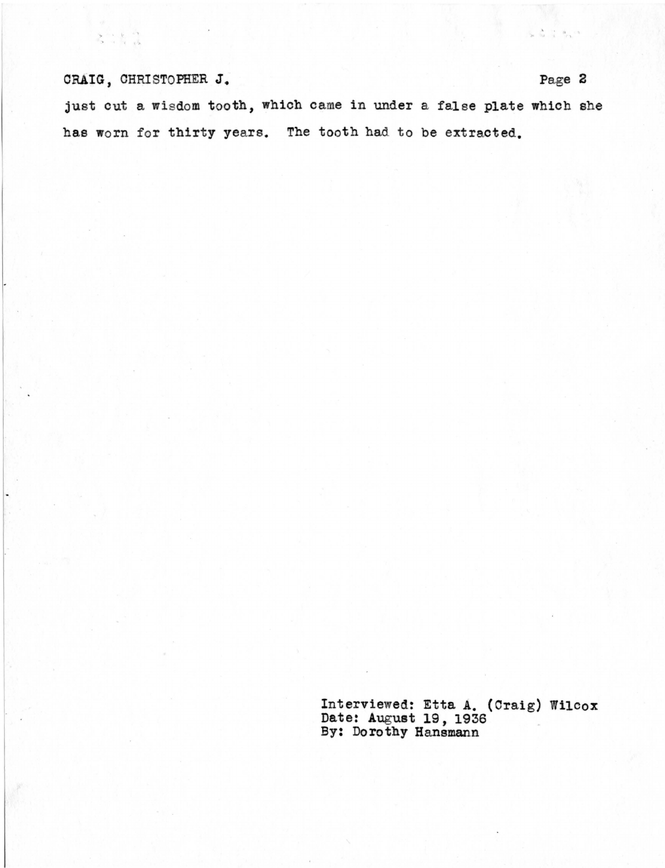## CRAIG, CHRISTOPHER J. Page 2

 $\mathcal{E}$  is a

just out a wisdom tooth, which came in under a false plate which she has worn for thirty years. The tooth had to be extracted.

> Interviewed: Etta A. (Craig) Wilcox Date: August 19, 1936 By: Dorothy Hansmann

 $\mathbb{S}_\mathbf{S} = \begin{bmatrix} \mathbf{A} & \cdots & \mathbf{B} \\ \mathbf{B} & \cdots & \mathbf{B} \end{bmatrix} \in \mathcal{R}^{\mathbf{S}}$